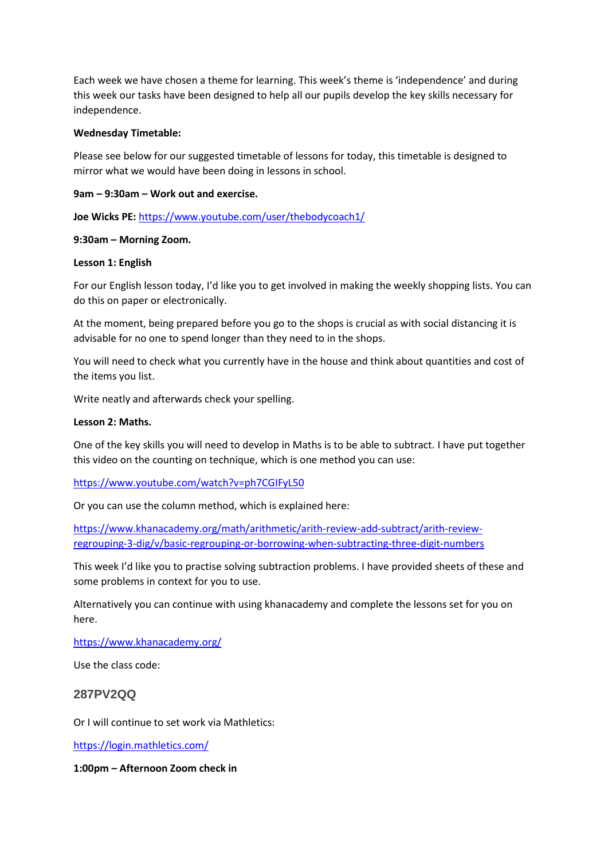Each week we have chosen a theme for learning. This week's theme is 'independence' and during this week our tasks have been designed to help all our pupils develop the key skills necessary for independence.

## **Wednesday Timetable:**

Please see below for our suggested timetable of lessons for today, this timetable is designed to mirror what we would have been doing in lessons in school.

# **9am – 9:30am – Work out and exercise.**

**Joe Wicks PE:** <https://www.youtube.com/user/thebodycoach1/>

# **9:30am – Morning Zoom.**

#### **Lesson 1: English**

For our English lesson today, I'd like you to get involved in making the weekly shopping lists. You can do this on paper or electronically.

At the moment, being prepared before you go to the shops is crucial as with social distancing it is advisable for no one to spend longer than they need to in the shops.

You will need to check what you currently have in the house and think about quantities and cost of the items you list.

Write neatly and afterwards check your spelling.

#### **Lesson 2: Maths.**

One of the key skills you will need to develop in Maths is to be able to subtract. I have put together this video on the counting on technique, which is one method you can use:

<https://www.youtube.com/watch?v=ph7CGIFyL50>

Or you can use the column method, which is explained here:

[https://www.khanacademy.org/math/arithmetic/arith-review-add-subtract/arith-review](https://www.khanacademy.org/math/arithmetic/arith-review-add-subtract/arith-review-regrouping-3-dig/v/basic-regrouping-or-borrowing-when-subtracting-three-digit-numbers)[regrouping-3-dig/v/basic-regrouping-or-borrowing-when-subtracting-three-digit-numbers](https://www.khanacademy.org/math/arithmetic/arith-review-add-subtract/arith-review-regrouping-3-dig/v/basic-regrouping-or-borrowing-when-subtracting-three-digit-numbers)

This week I'd like you to practise solving subtraction problems. I have provided sheets of these and some problems in context for you to use.

Alternatively you can continue with using khanacademy and complete the lessons set for you on here.

<https://www.khanacademy.org/>

Use the class code:

# **287PV2QQ**

Or I will continue to set work via Mathletics:

<https://login.mathletics.com/>

**1:00pm – Afternoon Zoom check in**